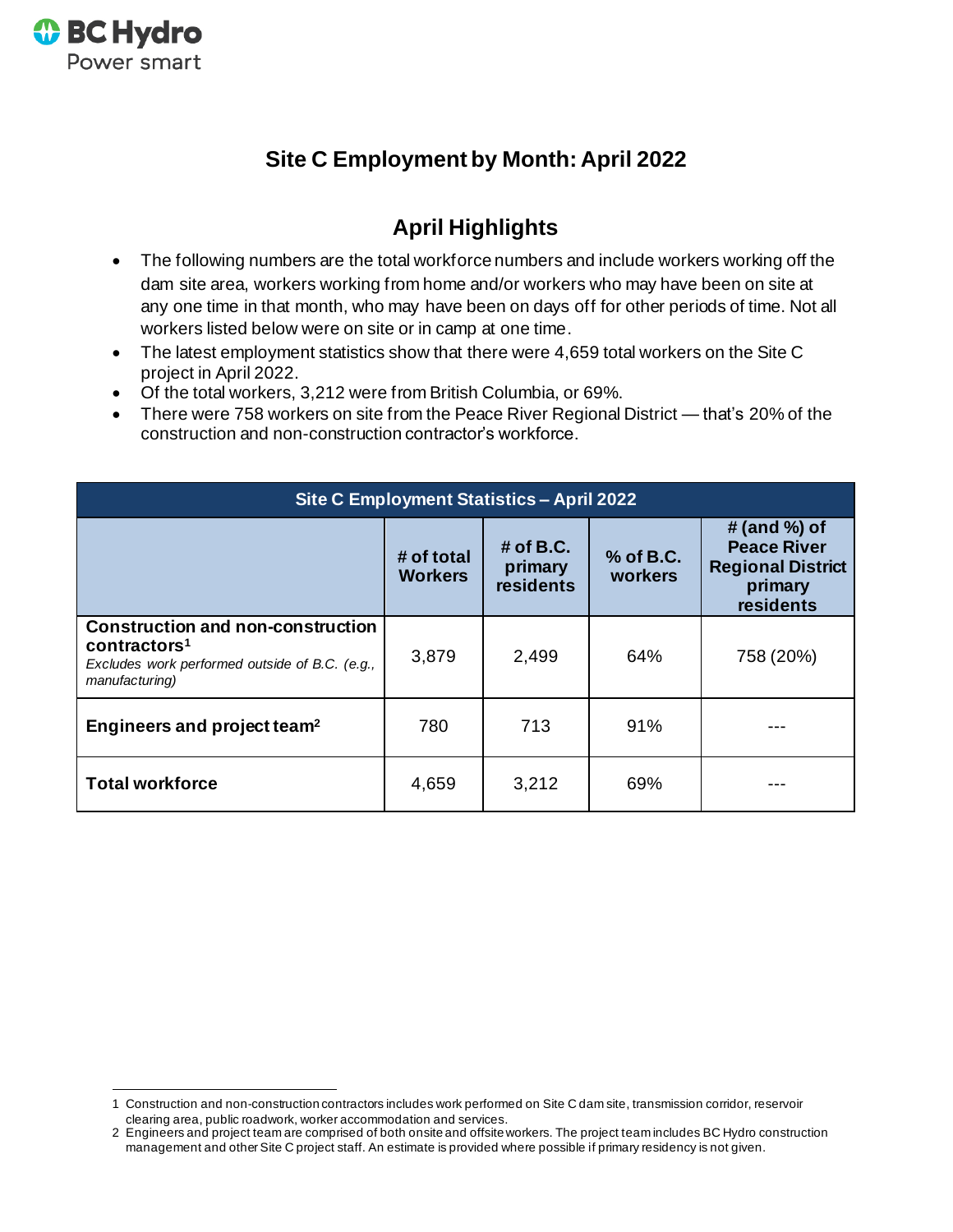

# **Site C Employment by Month: April 2022**

## **April Highlights**

- The following numbers are the total workforce numbers and include workers working off the dam site area, workers working from home and/or workers who may have been on site at any one time in that month, who may have been on days off for other periods of time. Not all workers listed below were on site or in camp at one time.
- The latest employment statistics show that there were 4,659 total workers on the Site C project in April 2022.
- Of the total workers, 3,212 were from British Columbia, or 69%.
- There were 758 workers on site from the Peace River Regional District that's 20% of the construction and non-construction contractor's workforce.

| Site C Employment Statistics - April 2022                                                                                                |                              |                                            |                      |                                                                                            |
|------------------------------------------------------------------------------------------------------------------------------------------|------------------------------|--------------------------------------------|----------------------|--------------------------------------------------------------------------------------------|
|                                                                                                                                          | # of total<br><b>Workers</b> | $#$ of B.C.<br>primary<br><b>residents</b> | % of B.C.<br>workers | # (and $\%$ ) of<br><b>Peace River</b><br><b>Regional District</b><br>primary<br>residents |
| <b>Construction and non-construction</b><br>contractors <sup>1</sup><br>Excludes work performed outside of B.C. (e.g.,<br>manufacturing) | 3,879                        | 2,499                                      | 64%                  | 758 (20%)                                                                                  |
| Engineers and project team <sup>2</sup>                                                                                                  | 780                          | 713                                        | 91%                  |                                                                                            |
| <b>Total workforce</b>                                                                                                                   | 4,659                        | 3,212                                      | 69%                  |                                                                                            |

<sup>1</sup> Construction and non-construction contractors includes work performed on Site C dam site, transmission corridor, reservoir clearing area, public roadwork, worker accommodation and services.

<sup>2</sup> Engineers and project team are comprised of both onsite and offsite workers. The project team includes BC Hydro construction management and other Site C project staff. An estimate is provided where possible if primary residency is not given.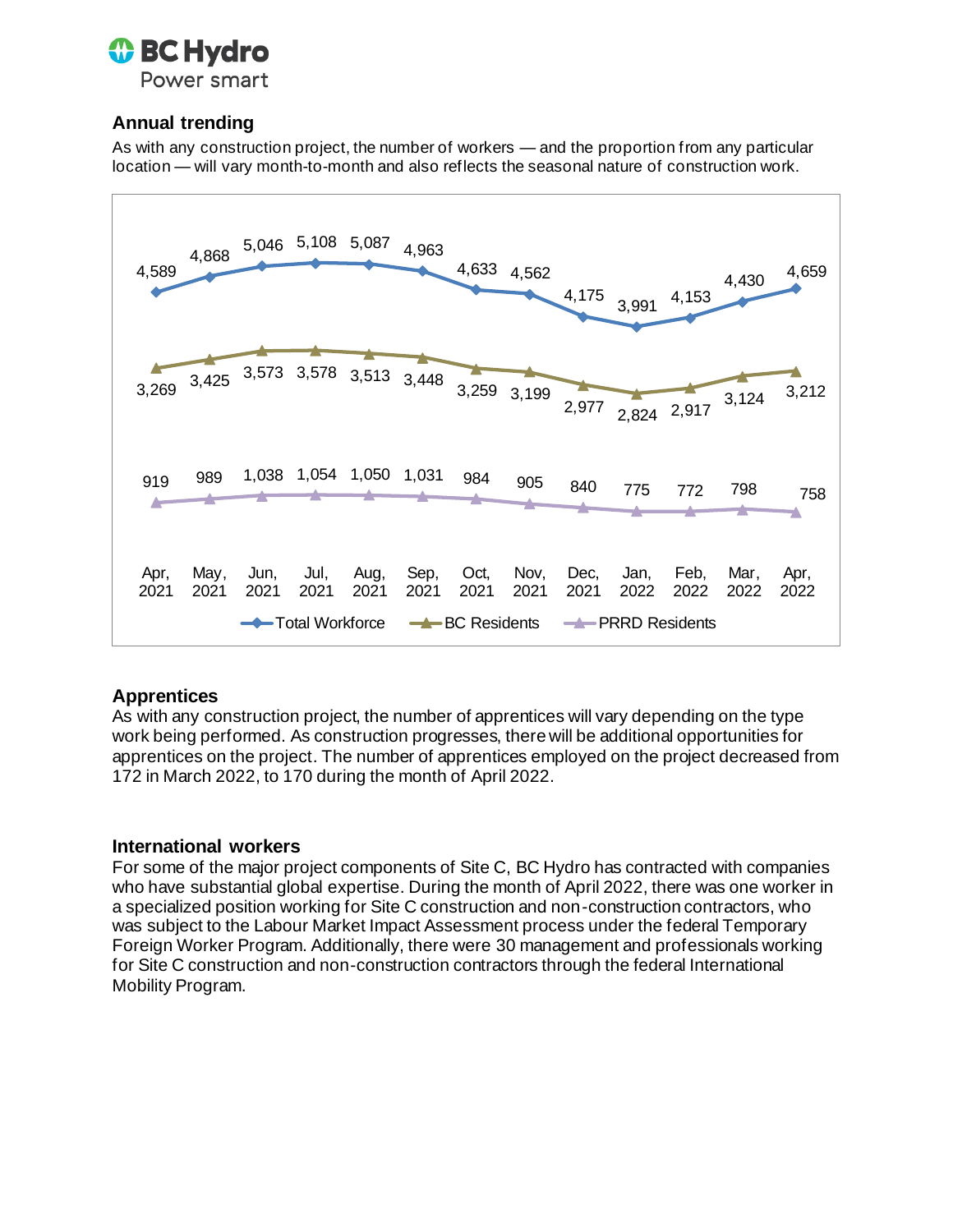

## **Annual trending**

As with any construction project, the number of workers — and the proportion from any particular location — will vary month-to-month and also reflects the seasonal nature of construction work.



### **Apprentices**

As with any construction project, the number of apprentices will vary depending on the type work being performed. As construction progresses, there will be additional opportunities for apprentices on the project. The number of apprentices employed on the project decreased from 172 in March 2022, to 170 during the month of April 2022.

#### **International workers**

For some of the major project components of Site C, BC Hydro has contracted with companies who have substantial global expertise. During the month of April 2022, there was one worker in a specialized position working for Site C construction and non-construction contractors, who was subject to the Labour Market Impact Assessment process under the federal Temporary Foreign Worker Program. Additionally, there were 30 management and professionals working for Site C construction and non-construction contractors through the federal International Mobility Program.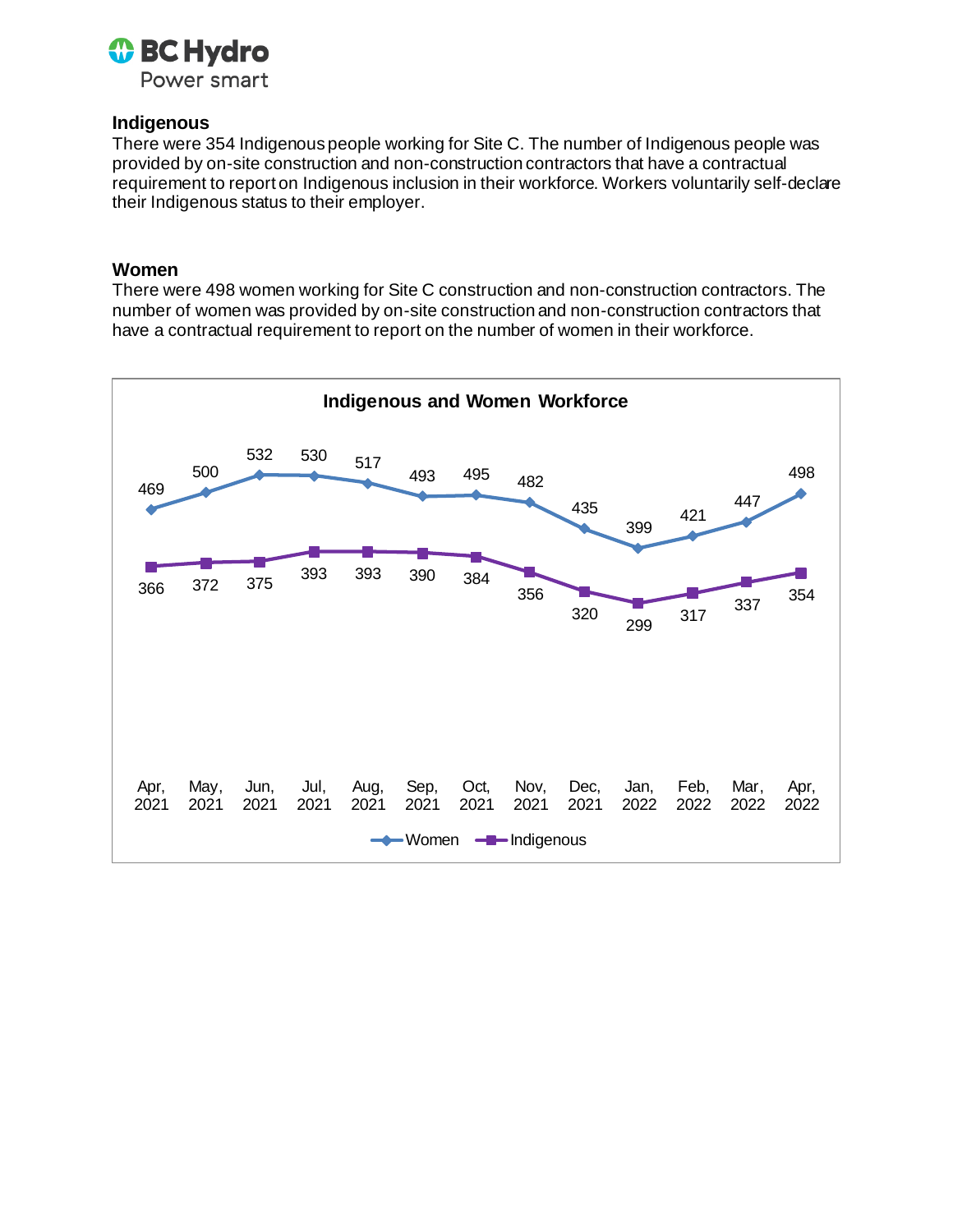

#### **Indigenous**

There were 354 Indigenous people working for Site C. The number of Indigenous people was provided by on-site construction and non-construction contractors that have a contractual requirement to report on Indigenous inclusion in their workforce. Workers voluntarily self-declare their Indigenous status to their employer.

#### **Women**

There were 498 women working for Site C construction and non-construction contractors. The number of women was provided by on-site construction and non-construction contractors that have a contractual requirement to report on the number of women in their workforce.